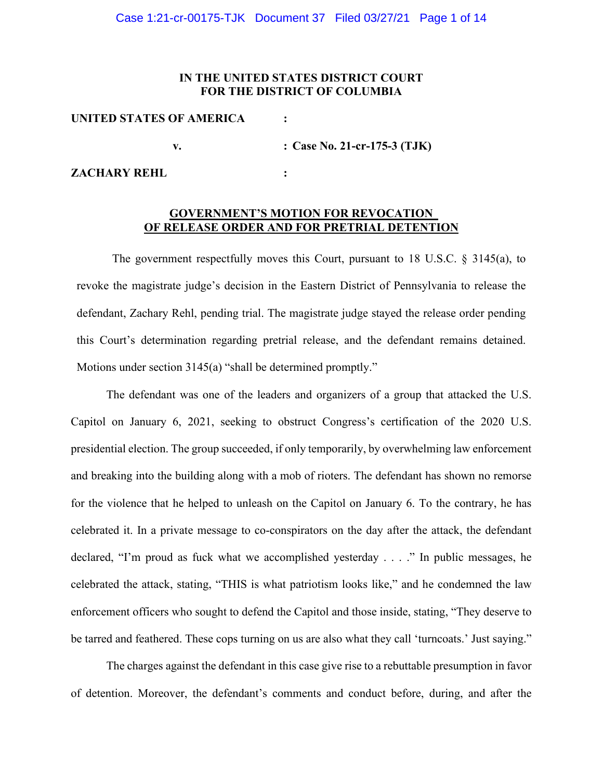# **IN THE UNITED STATES DISTRICT COURT FOR THE DISTRICT OF COLUMBIA**

| UNITED STATES OF AMERICA |                              |
|--------------------------|------------------------------|
|                          | : Case No. 21-cr-175-3 (TJK) |
| <b>ZACHARY REHL</b>      |                              |

# **GOVERNMENT'S MOTION FOR REVOCATION OF RELEASE ORDER AND FOR PRETRIAL DETENTION**

The government respectfully moves this Court, pursuant to 18 U.S.C. § 3145(a), to revoke the magistrate judge's decision in the Eastern District of Pennsylvania to release the defendant, Zachary Rehl, pending trial. The magistrate judge stayed the release order pending this Court's determination regarding pretrial release, and the defendant remains detained. Motions under section 3145(a) "shall be determined promptly."

The defendant was one of the leaders and organizers of a group that attacked the U.S. Capitol on January 6, 2021, seeking to obstruct Congress's certification of the 2020 U.S. presidential election. The group succeeded, if only temporarily, by overwhelming law enforcement and breaking into the building along with a mob of rioters. The defendant has shown no remorse for the violence that he helped to unleash on the Capitol on January 6. To the contrary, he has celebrated it. In a private message to co-conspirators on the day after the attack, the defendant declared, "I'm proud as fuck what we accomplished yesterday . . . ." In public messages, he celebrated the attack, stating, "THIS is what patriotism looks like," and he condemned the law enforcement officers who sought to defend the Capitol and those inside, stating, "They deserve to be tarred and feathered. These cops turning on us are also what they call 'turncoats.' Just saying."

The charges against the defendant in this case give rise to a rebuttable presumption in favor of detention. Moreover, the defendant's comments and conduct before, during, and after the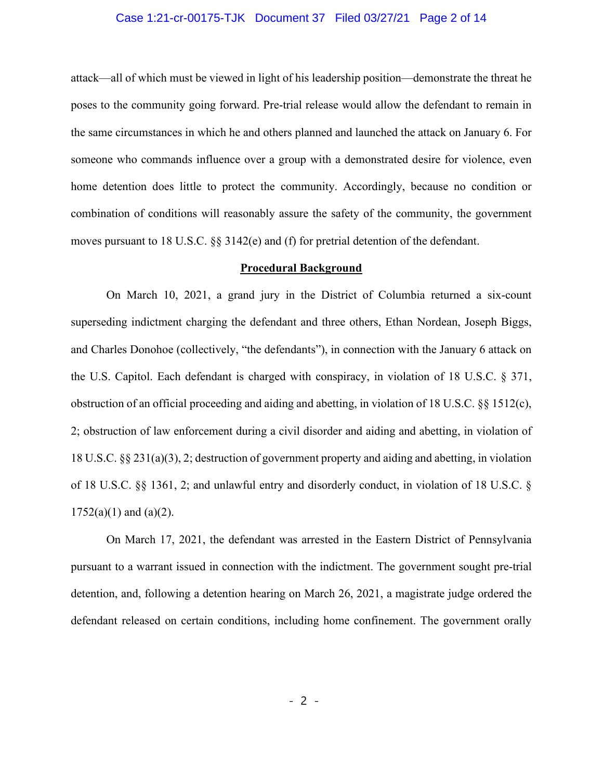# Case 1:21-cr-00175-TJK Document 37 Filed 03/27/21 Page 2 of 14

attack—all of which must be viewed in light of his leadership position—demonstrate the threat he poses to the community going forward. Pre-trial release would allow the defendant to remain in the same circumstances in which he and others planned and launched the attack on January 6. For someone who commands influence over a group with a demonstrated desire for violence, even home detention does little to protect the community. Accordingly, because no condition or combination of conditions will reasonably assure the safety of the community, the government moves pursuant to 18 U.S.C. §§ 3142(e) and (f) for pretrial detention of the defendant.

## **Procedural Background**

On March 10, 2021, a grand jury in the District of Columbia returned a six-count superseding indictment charging the defendant and three others, Ethan Nordean, Joseph Biggs, and Charles Donohoe (collectively, "the defendants"), in connection with the January 6 attack on the U.S. Capitol. Each defendant is charged with conspiracy, in violation of 18 U.S.C. § 371, obstruction of an official proceeding and aiding and abetting, in violation of 18 U.S.C. §§ 1512(c), 2; obstruction of law enforcement during a civil disorder and aiding and abetting, in violation of 18 U.S.C. §§ 231(a)(3), 2; destruction of government property and aiding and abetting, in violation of 18 U.S.C. §§ 1361, 2; and unlawful entry and disorderly conduct, in violation of 18 U.S.C. §  $1752(a)(1)$  and  $(a)(2)$ .

On March 17, 2021, the defendant was arrested in the Eastern District of Pennsylvania pursuant to a warrant issued in connection with the indictment. The government sought pre-trial detention, and, following a detention hearing on March 26, 2021, a magistrate judge ordered the defendant released on certain conditions, including home confinement. The government orally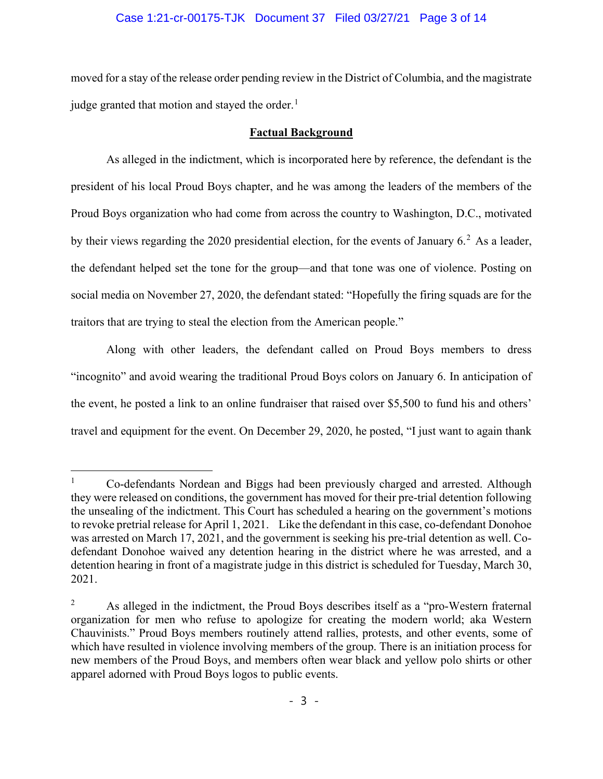# Case 1:21-cr-00175-TJK Document 37 Filed 03/27/21 Page 3 of 14

moved for a stay of the release order pending review in the District of Columbia, and the magistrate judge granted that motion and stayed the order.<sup>1</sup>

# **Factual Background**

As alleged in the indictment, which is incorporated here by reference, the defendant is the president of his local Proud Boys chapter, and he was among the leaders of the members of the Proud Boys organization who had come from across the country to Washington, D.C., motivated by their views regarding the 2020 presidential election, for the events of January  $6<sup>2</sup>$  As a leader, the defendant helped set the tone for the group—and that tone was one of violence. Posting on social media on November 27, 2020, the defendant stated: "Hopefully the firing squads are for the traitors that are trying to steal the election from the American people."

Along with other leaders, the defendant called on Proud Boys members to dress "incognito" and avoid wearing the traditional Proud Boys colors on January 6. In anticipation of the event, he posted a link to an online fundraiser that raised over \$5,500 to fund his and others' travel and equipment for the event. On December 29, 2020, he posted, "I just want to again thank

<sup>1</sup> Co-defendants Nordean and Biggs had been previously charged and arrested. Although they were released on conditions, the government has moved for their pre-trial detention following the unsealing of the indictment. This Court has scheduled a hearing on the government's motions to revoke pretrial release for April 1, 2021. Like the defendant in this case, co-defendant Donohoe was arrested on March 17, 2021, and the government is seeking his pre-trial detention as well. Codefendant Donohoe waived any detention hearing in the district where he was arrested, and a detention hearing in front of a magistrate judge in this district is scheduled for Tuesday, March 30, 2021.

<sup>&</sup>lt;sup>2</sup> As alleged in the indictment, the Proud Boys describes itself as a "pro-Western fraternal" organization for men who refuse to apologize for creating the modern world; aka Western Chauvinists." Proud Boys members routinely attend rallies, protests, and other events, some of which have resulted in violence involving members of the group. There is an initiation process for new members of the Proud Boys, and members often wear black and yellow polo shirts or other apparel adorned with Proud Boys logos to public events.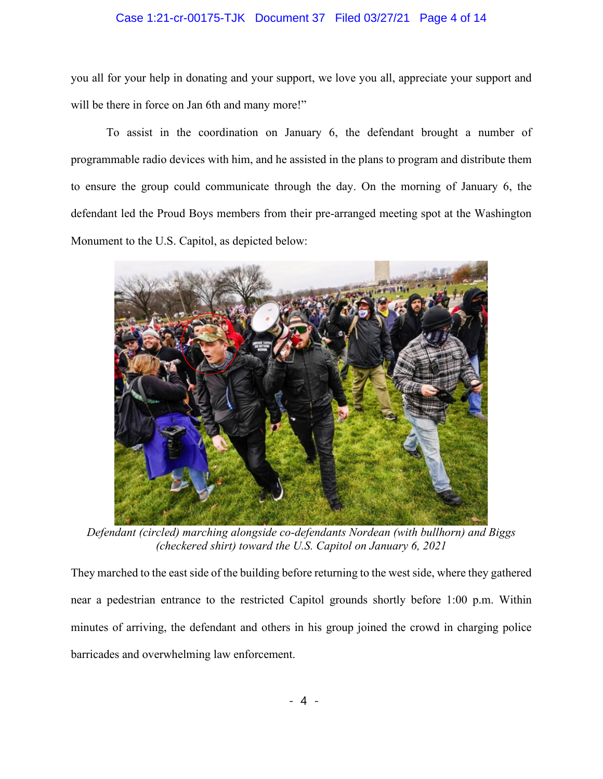# Case 1:21-cr-00175-TJK Document 37 Filed 03/27/21 Page 4 of 14

you all for your help in donating and your support, we love you all, appreciate your support and will be there in force on Jan 6th and many more!"

To assist in the coordination on January 6, the defendant brought a number of programmable radio devices with him, and he assisted in the plans to program and distribute them to ensure the group could communicate through the day. On the morning of January 6, the defendant led the Proud Boys members from their pre-arranged meeting spot at the Washington Monument to the U.S. Capitol, as depicted below:



*Defendant (circled) marching alongside co-defendants Nordean (with bullhorn) and Biggs (checkered shirt) toward the U.S. Capitol on January 6, 2021*

They marched to the east side of the building before returning to the west side, where they gathered near a pedestrian entrance to the restricted Capitol grounds shortly before 1:00 p.m. Within minutes of arriving, the defendant and others in his group joined the crowd in charging police barricades and overwhelming law enforcement.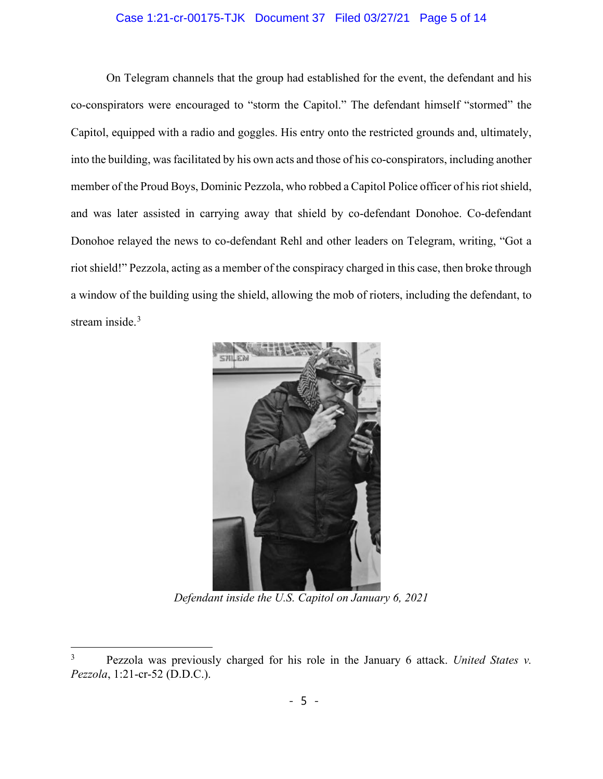# Case 1:21-cr-00175-TJK Document 37 Filed 03/27/21 Page 5 of 14

On Telegram channels that the group had established for the event, the defendant and his co-conspirators were encouraged to "storm the Capitol." The defendant himself "stormed" the Capitol, equipped with a radio and goggles. His entry onto the restricted grounds and, ultimately, into the building, was facilitated by his own acts and those of his co-conspirators, including another member of the Proud Boys, Dominic Pezzola, who robbed a Capitol Police officer of his riot shield, and was later assisted in carrying away that shield by co-defendant Donohoe. Co-defendant Donohoe relayed the news to co-defendant Rehl and other leaders on Telegram, writing, "Got a riot shield!" Pezzola, acting as a member of the conspiracy charged in this case, then broke through a window of the building using the shield, allowing the mob of rioters, including the defendant, to stream inside.<sup>3</sup>



*Defendant inside the U.S. Capitol on January 6, 2021*

<sup>3</sup> Pezzola was previously charged for his role in the January 6 attack. *United States v. Pezzola*, 1:21-cr-52 (D.D.C.).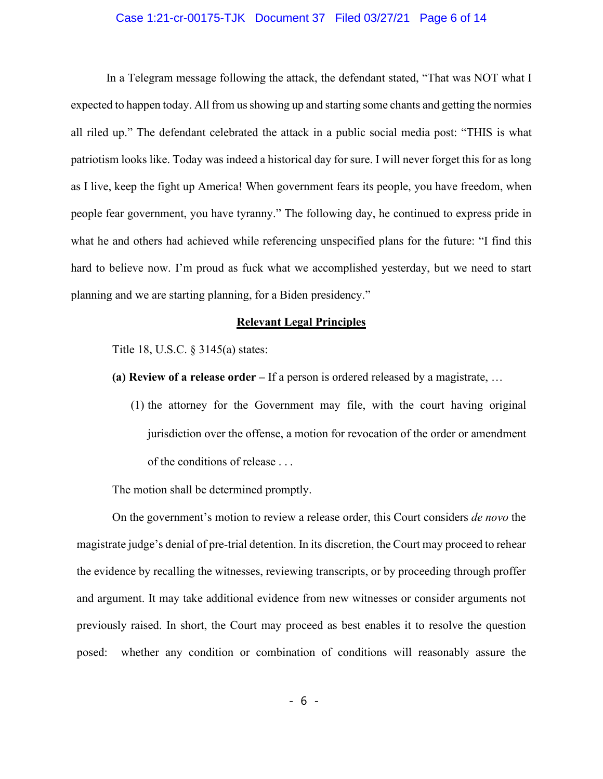## Case 1:21-cr-00175-TJK Document 37 Filed 03/27/21 Page 6 of 14

In a Telegram message following the attack, the defendant stated, "That was NOT what I expected to happen today. All from us showing up and starting some chants and getting the normies all riled up." The defendant celebrated the attack in a public social media post: "THIS is what patriotism looks like. Today was indeed a historical day for sure. I will never forget this for as long as I live, keep the fight up America! When government fears its people, you have freedom, when people fear government, you have tyranny." The following day, he continued to express pride in what he and others had achieved while referencing unspecified plans for the future: "I find this hard to believe now. I'm proud as fuck what we accomplished yesterday, but we need to start planning and we are starting planning, for a Biden presidency."

## **Relevant Legal Principles**

Title 18, U.S.C. § 3145(a) states:

- **(a) Review of a release order –** If a person is ordered released by a magistrate, …
	- (1) the attorney for the Government may file, with the court having original jurisdiction over the offense, a motion for revocation of the order or amendment of the conditions of release . . .

The motion shall be determined promptly.

On the government's motion to review a release order, this Court considers *de novo* the magistrate judge's denial of pre-trial detention. In its discretion, the Court may proceed to rehear the evidence by recalling the witnesses, reviewing transcripts, or by proceeding through proffer and argument. It may take additional evidence from new witnesses or consider arguments not previously raised. In short, the Court may proceed as best enables it to resolve the question posed: whether any condition or combination of conditions will reasonably assure the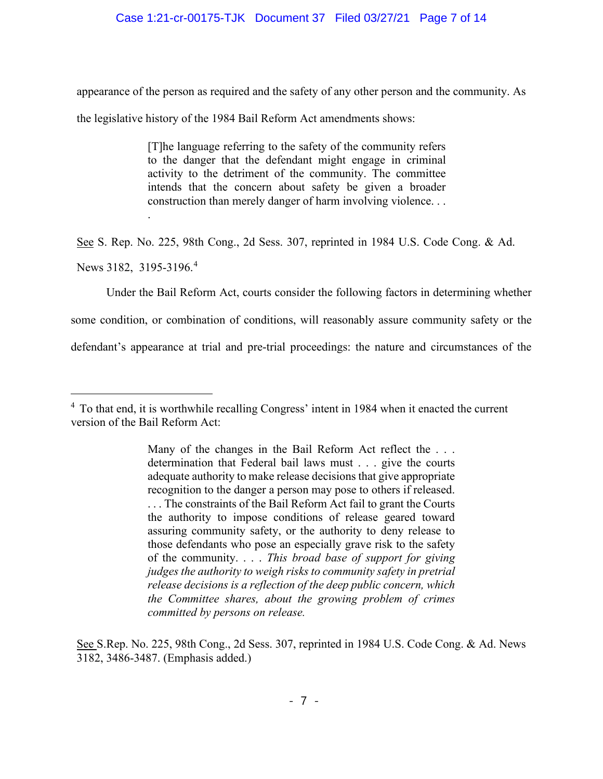# Case 1:21-cr-00175-TJK Document 37 Filed 03/27/21 Page 7 of 14

appearance of the person as required and the safety of any other person and the community. As

the legislative history of the 1984 Bail Reform Act amendments shows:

[T]he language referring to the safety of the community refers to the danger that the defendant might engage in criminal activity to the detriment of the community. The committee intends that the concern about safety be given a broader construction than merely danger of harm involving violence. . .

See S. Rep. No. 225, 98th Cong., 2d Sess. 307, reprinted in 1984 U.S. Code Cong. & Ad.

News 3182, 3195-3196.<sup>4</sup>

.

Under the Bail Reform Act, courts consider the following factors in determining whether

some condition, or combination of conditions, will reasonably assure community safety or the

defendant's appearance at trial and pre-trial proceedings: the nature and circumstances of the

See S.Rep. No. 225, 98th Cong., 2d Sess. 307, reprinted in 1984 U.S. Code Cong. & Ad. News 3182, 3486-3487. (Emphasis added.)

<sup>&</sup>lt;sup>4</sup> To that end, it is worthwhile recalling Congress' intent in 1984 when it enacted the current version of the Bail Reform Act:

Many of the changes in the Bail Reform Act reflect the . . . determination that Federal bail laws must . . . give the courts adequate authority to make release decisions that give appropriate recognition to the danger a person may pose to others if released. . . . The constraints of the Bail Reform Act fail to grant the Courts the authority to impose conditions of release geared toward assuring community safety, or the authority to deny release to those defendants who pose an especially grave risk to the safety of the community. . . . *This broad base of support for giving judges the authority to weigh risks to community safety in pretrial release decisions is a reflection of the deep public concern, which the Committee shares, about the growing problem of crimes committed by persons on release.*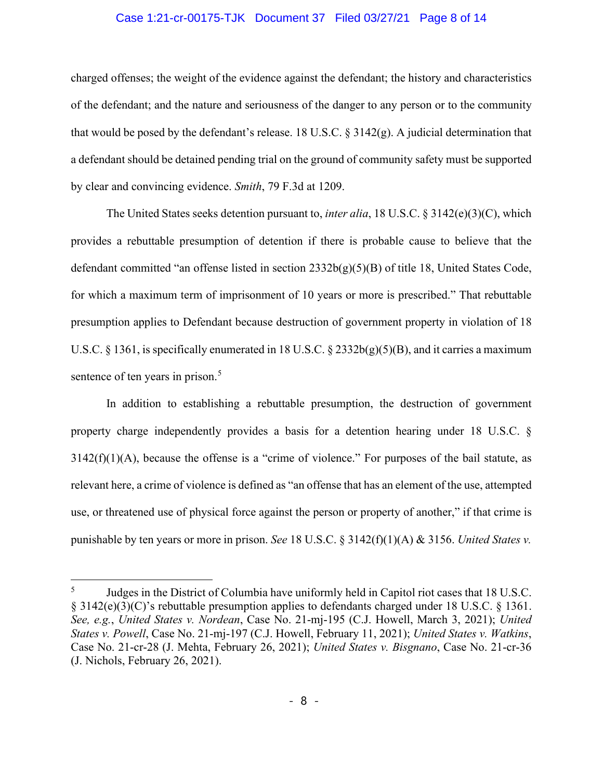## Case 1:21-cr-00175-TJK Document 37 Filed 03/27/21 Page 8 of 14

charged offenses; the weight of the evidence against the defendant; the history and characteristics of the defendant; and the nature and seriousness of the danger to any person or to the community that would be posed by the defendant's release. 18 U.S.C.  $\S 3142(g)$ . A judicial determination that a defendant should be detained pending trial on the ground of community safety must be supported by clear and convincing evidence. *Smith*, 79 F.3d at 1209.

The United States seeks detention pursuant to, *inter alia*, 18 U.S.C. § 3142(e)(3)(C), which provides a rebuttable presumption of detention if there is probable cause to believe that the defendant committed "an offense listed in section 2332b(g)(5)(B) of title 18, United States Code, for which a maximum term of imprisonment of 10 years or more is prescribed." That rebuttable presumption applies to Defendant because destruction of government property in violation of 18 U.S.C. § 1361, is specifically enumerated in 18 U.S.C. § 2332b(g)(5)(B), and it carries a maximum sentence of ten years in prison.<sup>5</sup>

In addition to establishing a rebuttable presumption, the destruction of government property charge independently provides a basis for a detention hearing under 18 U.S.C. §  $3142(f)(1)(A)$ , because the offense is a "crime of violence." For purposes of the bail statute, as relevant here, a crime of violence is defined as "an offense that has an element of the use, attempted use, or threatened use of physical force against the person or property of another," if that crime is punishable by ten years or more in prison. *See* 18 U.S.C. § 3142(f)(1)(A) & 3156. *United States v.* 

<sup>&</sup>lt;sup>5</sup> Judges in the District of Columbia have uniformly held in Capitol riot cases that 18 U.S.C. § 3142(e)(3)(C)'s rebuttable presumption applies to defendants charged under 18 U.S.C. § 1361. *See, e.g.*, *United States v. Nordean*, Case No. 21-mj-195 (C.J. Howell, March 3, 2021); *United States v. Powell*, Case No. 21-mj-197 (C.J. Howell, February 11, 2021); *United States v. Watkins*, Case No. 21-cr-28 (J. Mehta, February 26, 2021); *United States v. Bisgnano*, Case No. 21-cr-36 (J. Nichols, February 26, 2021).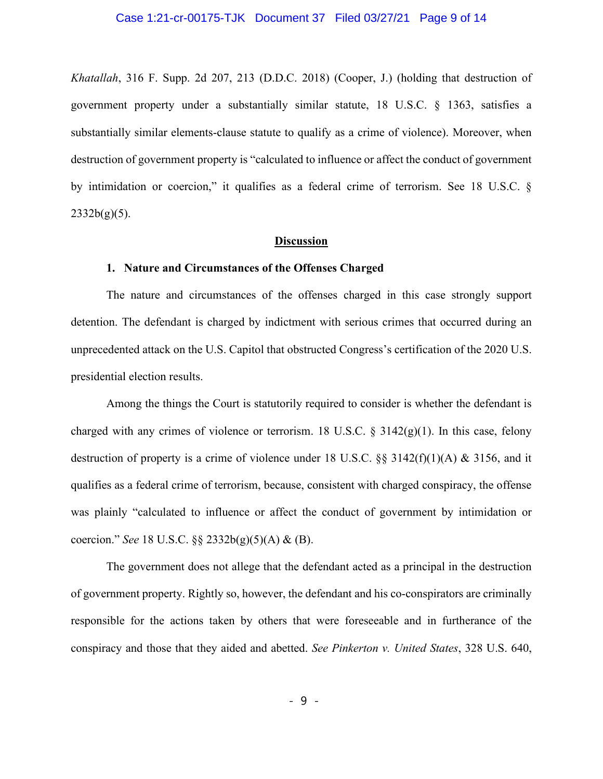#### Case 1:21-cr-00175-TJK Document 37 Filed 03/27/21 Page 9 of 14

*Khatallah*, 316 F. Supp. 2d 207, 213 (D.D.C. 2018) (Cooper, J.) (holding that destruction of government property under a substantially similar statute, 18 U.S.C. § 1363, satisfies a substantially similar elements-clause statute to qualify as a crime of violence). Moreover, when destruction of government property is "calculated to influence or affect the conduct of government by intimidation or coercion," it qualifies as a federal crime of terrorism. See 18 U.S.C. §  $2332b(g)(5)$ .

### **Discussion**

### **1. Nature and Circumstances of the Offenses Charged**

The nature and circumstances of the offenses charged in this case strongly support detention. The defendant is charged by indictment with serious crimes that occurred during an unprecedented attack on the U.S. Capitol that obstructed Congress's certification of the 2020 U.S. presidential election results.

Among the things the Court is statutorily required to consider is whether the defendant is charged with any crimes of violence or terrorism. 18 U.S.C.  $\S$  3142(g)(1). In this case, felony destruction of property is a crime of violence under 18 U.S.C. §§ 3142(f)(1)(A) & 3156, and it qualifies as a federal crime of terrorism, because, consistent with charged conspiracy, the offense was plainly "calculated to influence or affect the conduct of government by intimidation or coercion." *See* 18 U.S.C. §§ 2332b(g)(5)(A) & (B).

The government does not allege that the defendant acted as a principal in the destruction of government property. Rightly so, however, the defendant and his co-conspirators are criminally responsible for the actions taken by others that were foreseeable and in furtherance of the conspiracy and those that they aided and abetted. *See Pinkerton v. United States*, 328 U.S. 640,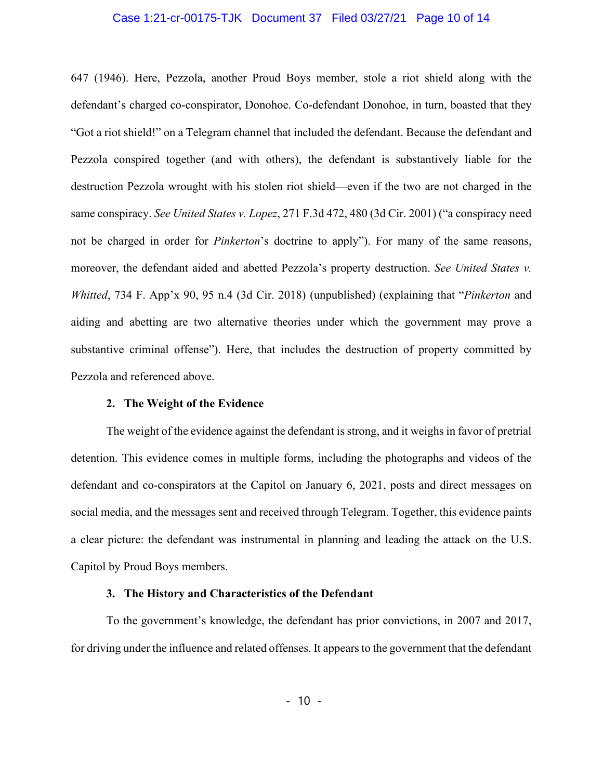### Case 1:21-cr-00175-TJK Document 37 Filed 03/27/21 Page 10 of 14

647 (1946). Here, Pezzola, another Proud Boys member, stole a riot shield along with the defendant's charged co-conspirator, Donohoe. Co-defendant Donohoe, in turn, boasted that they "Got a riot shield!" on a Telegram channel that included the defendant. Because the defendant and Pezzola conspired together (and with others), the defendant is substantively liable for the destruction Pezzola wrought with his stolen riot shield—even if the two are not charged in the same conspiracy. *See United States v. Lopez*, 271 F.3d 472, 480 (3d Cir. 2001) ("a conspiracy need not be charged in order for *Pinkerton*'s doctrine to apply"). For many of the same reasons, moreover, the defendant aided and abetted Pezzola's property destruction. *See United States v. Whitted*, 734 F. App'x 90, 95 n.4 (3d Cir. 2018) (unpublished) (explaining that "*Pinkerton* and aiding and abetting are two alternative theories under which the government may prove a substantive criminal offense"). Here, that includes the destruction of property committed by Pezzola and referenced above.

#### **2. The Weight of the Evidence**

The weight of the evidence against the defendant is strong, and it weighs in favor of pretrial detention. This evidence comes in multiple forms, including the photographs and videos of the defendant and co-conspirators at the Capitol on January 6, 2021, posts and direct messages on social media, and the messages sent and received through Telegram. Together, this evidence paints a clear picture: the defendant was instrumental in planning and leading the attack on the U.S. Capitol by Proud Boys members.

### **3. The History and Characteristics of the Defendant**

To the government's knowledge, the defendant has prior convictions, in 2007 and 2017, for driving under the influence and related offenses. It appears to the government that the defendant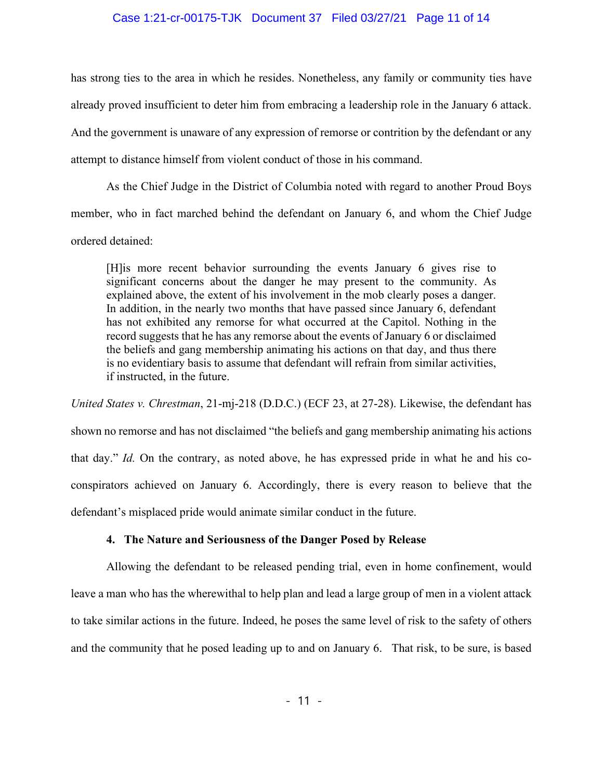## Case 1:21-cr-00175-TJK Document 37 Filed 03/27/21 Page 11 of 14

has strong ties to the area in which he resides. Nonetheless, any family or community ties have already proved insufficient to deter him from embracing a leadership role in the January 6 attack. And the government is unaware of any expression of remorse or contrition by the defendant or any attempt to distance himself from violent conduct of those in his command.

As the Chief Judge in the District of Columbia noted with regard to another Proud Boys member, who in fact marched behind the defendant on January 6, and whom the Chief Judge ordered detained:

[H]is more recent behavior surrounding the events January 6 gives rise to significant concerns about the danger he may present to the community. As explained above, the extent of his involvement in the mob clearly poses a danger. In addition, in the nearly two months that have passed since January 6, defendant has not exhibited any remorse for what occurred at the Capitol. Nothing in the record suggests that he has any remorse about the events of January 6 or disclaimed the beliefs and gang membership animating his actions on that day, and thus there is no evidentiary basis to assume that defendant will refrain from similar activities, if instructed, in the future.

*United States v. Chrestman*, 21-mj-218 (D.D.C.) (ECF 23, at 27-28). Likewise, the defendant has shown no remorse and has not disclaimed "the beliefs and gang membership animating his actions that day." *Id.* On the contrary, as noted above, he has expressed pride in what he and his coconspirators achieved on January 6. Accordingly, there is every reason to believe that the defendant's misplaced pride would animate similar conduct in the future.

# **4. The Nature and Seriousness of the Danger Posed by Release**

Allowing the defendant to be released pending trial, even in home confinement, would leave a man who has the wherewithal to help plan and lead a large group of men in a violent attack to take similar actions in the future. Indeed, he poses the same level of risk to the safety of others and the community that he posed leading up to and on January 6. That risk, to be sure, is based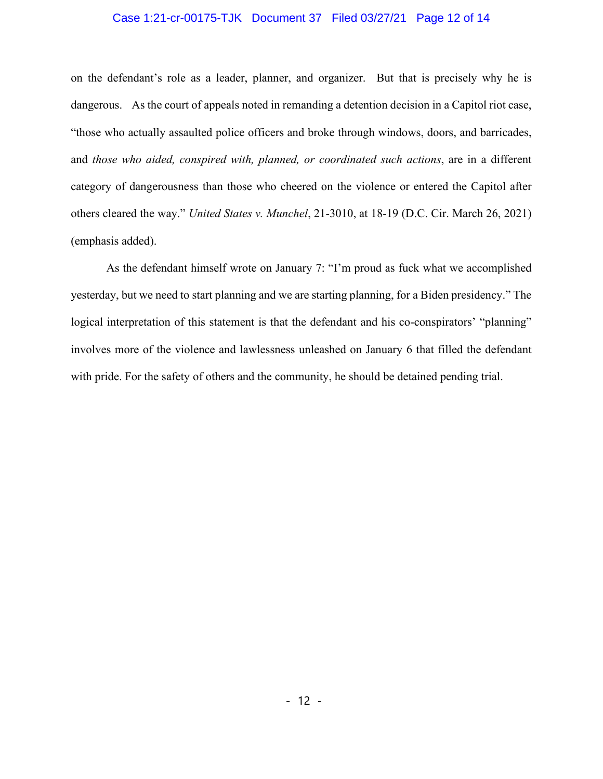# Case 1:21-cr-00175-TJK Document 37 Filed 03/27/21 Page 12 of 14

on the defendant's role as a leader, planner, and organizer. But that is precisely why he is dangerous. As the court of appeals noted in remanding a detention decision in a Capitol riot case, "those who actually assaulted police officers and broke through windows, doors, and barricades, and *those who aided, conspired with, planned, or coordinated such actions*, are in a different category of dangerousness than those who cheered on the violence or entered the Capitol after others cleared the way." *United States v. Munchel*, 21-3010, at 18-19 (D.C. Cir. March 26, 2021) (emphasis added).

As the defendant himself wrote on January 7: "I'm proud as fuck what we accomplished yesterday, but we need to start planning and we are starting planning, for a Biden presidency." The logical interpretation of this statement is that the defendant and his co-conspirators' "planning" involves more of the violence and lawlessness unleashed on January 6 that filled the defendant with pride. For the safety of others and the community, he should be detained pending trial.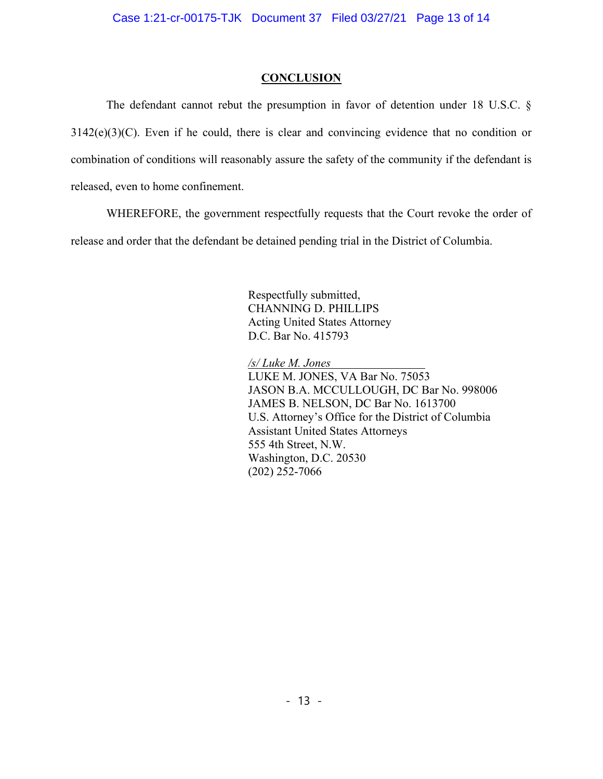# **CONCLUSION**

The defendant cannot rebut the presumption in favor of detention under 18 U.S.C. §  $3142(e)(3)(C)$ . Even if he could, there is clear and convincing evidence that no condition or combination of conditions will reasonably assure the safety of the community if the defendant is released, even to home confinement.

WHEREFORE, the government respectfully requests that the Court revoke the order of release and order that the defendant be detained pending trial in the District of Columbia.

> Respectfully submitted, CHANNING D. PHILLIPS Acting United States Attorney D.C. Bar No. 415793

*/s/ Luke M. Jones*

LUKE M. JONES, VA Bar No. 75053 JASON B.A. MCCULLOUGH, DC Bar No. 998006 JAMES B. NELSON, DC Bar No. 1613700 U.S. Attorney's Office for the District of Columbia Assistant United States Attorneys 555 4th Street, N.W. Washington, D.C. 20530 (202) 252-7066